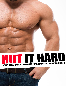# IIT IT HARD **HOW TO MELT FAT AND OPTIMIZE PERFORMANCE WITH HIIT WORKOUTS**

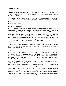## **HIIT it Hard Cheat Sheet**

In the full book, we looked at numerous different HIIT workouts and discussed a lot of the science and theory behind how they work. Hopefully, it has inspired you to start getting more creative with your workouts and to come up with some really challenging routines that will increase your strength, your fitness and your physique.

But it was a lot to take in all in one go. And with that in mind, this cheat sheet will provide you with a handy recap that you can dip into whenever you need a refresher, a little more inspiration or some new ideas!

### **The Three Energy Systems**

The three energy systems are:

The ATP-CP System: This stands for 'Adenosine Triphosphate Creatine Phosphate' system. This is the quickest energy system that the body has access to and it uses up energy stored inside the muscles in its most basic form. It can only last a few seconds, although creatine can enhance this slightly.

The Glycogen Lactic Acid System: This is the second energy system. Once ATP-CP stores have been depleted in the muscle, the body will switch to the glycogen lactic acid system and this will use glycogen in the muscles. This can last for a couple of minutes but causes the build-up of metabolites in the muscle that cause the 'burn' sensation we associate with the gym. It also causes the build up of lactic acid in the blood, which makes us feel nauseous and eventually forces us to reduce our activity.

The Aerobic System: The last system that the body switches to is the aerobic system. Here, the heart rate works harder to pump oxygen to the fat stores. These get broken down and useable energy is then carried to the muscles to fuel movement. This can last indefinitely but puts the body in a highly catabolic state that breaks down muscle.

# **Types of HIIT**

Regular HIIT: HIIT stands for 'High Intensity Interval Training' and the most basic form of this involves two intervals: a high intensity and low intensity interval. You then train at 90-100% of your maximum capacity for the fast interval and recover at around 70% for the slow interval. A starting ratio might be 30 seconds of high intensity and 2 minutes of low intensity. Eventually, you might end up doing 1 minute of high intensity and 1 minute of low!

Tabata: The tabata protocol is a highly popular HIIT workout that involves going all out for 20 seconds and then resting for 10 seconds. While 20 seconds might not seem like a long time, the short recovery periods mean that this can be absolutely brutal. The sequence is repeated 8 times, meaning that the entire thing lasts only 4 minutes – but is brilliant for burning a lot of fat.

Fartlek: Fartlek is a type of training that translates to 'time play'. The idea is that you're performing something akin to HIIT, except that you aren't switching between two different states but rather multiple states. What's more, is that you can choose how and when you make the change. You might then decide to walk for a period, jog for a while and then sprint. And you could mix those three states up in any way you choose – even in a non-linear or random fashion.